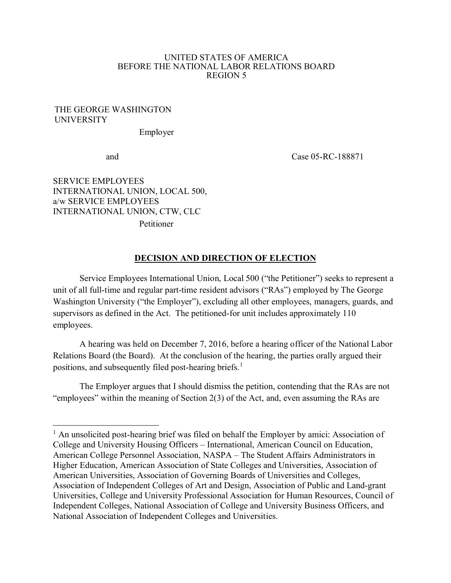#### UNITED STATES OF AMERICA BEFORE THE NATIONAL LABOR RELATIONS BOARD REGION 5

#### THE GEORGE WASHINGTON UNIVERSITY

Employer

 $\overline{\phantom{a}}$ 

and Case 05-RC-188871

SERVICE EMPLOYEES INTERNATIONAL UNION, LOCAL 500, a/w SERVICE EMPLOYEES INTERNATIONAL UNION, CTW, CLC Petitioner

#### **DECISION AND DIRECTION OF ELECTION**

Service Employees International Union, Local 500 ("the Petitioner") seeks to represent a unit of all full-time and regular part-time resident advisors ("RAs") employed by The George Washington University ("the Employer"), excluding all other employees, managers, guards, and supervisors as defined in the Act. The petitioned-for unit includes approximately 110 employees.

A hearing was held on December 7, 2016, before a hearing officer of the National Labor Relations Board (the Board). At the conclusion of the hearing, the parties orally argued their positions, and subsequently filed post-hearing briefs.<sup>1</sup>

The Employer argues that I should dismiss the petition, contending that the RAs are not "employees" within the meaning of Section 2(3) of the Act, and, even assuming the RAs are

<sup>&</sup>lt;sup>1</sup> An unsolicited post-hearing brief was filed on behalf the Employer by amici: Association of College and University Housing Officers – International, American Council on Education, American College Personnel Association, NASPA – The Student Affairs Administrators in Higher Education, American Association of State Colleges and Universities, Association of American Universities, Association of Governing Boards of Universities and Colleges, Association of Independent Colleges of Art and Design, Association of Public and Land-grant Universities, College and University Professional Association for Human Resources, Council of Independent Colleges, National Association of College and University Business Officers, and National Association of Independent Colleges and Universities.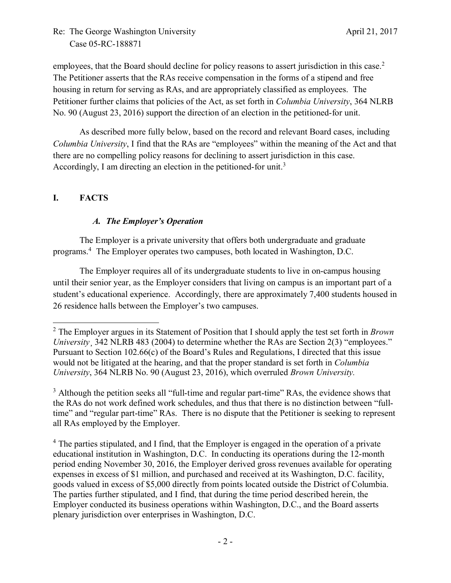employees, that the Board should decline for policy reasons to assert jurisdiction in this case.<sup>2</sup> The Petitioner asserts that the RAs receive compensation in the forms of a stipend and free housing in return for serving as RAs, and are appropriately classified as employees. The Petitioner further claims that policies of the Act, as set forth in *Columbia University*, 364 NLRB No. 90 (August 23, 2016) support the direction of an election in the petitioned-for unit.

As described more fully below, based on the record and relevant Board cases, including *Columbia University*, I find that the RAs are "employees" within the meaning of the Act and that there are no compelling policy reasons for declining to assert jurisdiction in this case. Accordingly, I am directing an election in the petitioned-for unit.<sup>3</sup>

# **I. FACTS**

### *A. The Employer's Operation*

The Employer is a private university that offers both undergraduate and graduate programs.<sup>4</sup> The Employer operates two campuses, both located in Washington, D.C.

The Employer requires all of its undergraduate students to live in on-campus housing until their senior year, as the Employer considers that living on campus is an important part of a student's educational experience. Accordingly, there are approximately 7,400 students housed in 26 residence halls between the Employer's two campuses.

<sup>3</sup> Although the petition seeks all "full-time and regular part-time" RAs, the evidence shows that the RAs do not work defined work schedules, and thus that there is no distinction between "fulltime" and "regular part-time" RAs. There is no dispute that the Petitioner is seeking to represent all RAs employed by the Employer.

<sup>4</sup> The parties stipulated, and I find, that the Employer is engaged in the operation of a private educational institution in Washington, D.C. In conducting its operations during the 12-month period ending November 30, 2016, the Employer derived gross revenues available for operating expenses in excess of \$1 million, and purchased and received at its Washington, D.C. facility, goods valued in excess of \$5,000 directly from points located outside the District of Columbia. The parties further stipulated, and I find, that during the time period described herein, the Employer conducted its business operations within Washington, D.C., and the Board asserts plenary jurisdiction over enterprises in Washington, D.C.

l <sup>2</sup> The Employer argues in its Statement of Position that I should apply the test set forth in *Brown University* 342 NLRB 483 (2004) to determine whether the RAs are Section 2(3) "employees." Pursuant to Section 102.66(c) of the Board's Rules and Regulations, I directed that this issue would not be litigated at the hearing, and that the proper standard is set forth in *Columbia University*, 364 NLRB No. 90 (August 23, 2016), which overruled *Brown University.*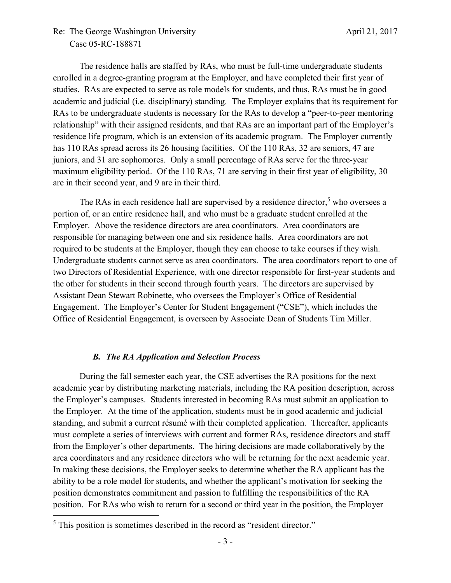The residence halls are staffed by RAs, who must be full-time undergraduate students enrolled in a degree-granting program at the Employer, and have completed their first year of studies. RAs are expected to serve as role models for students, and thus, RAs must be in good academic and judicial (i.e. disciplinary) standing. The Employer explains that its requirement for RAs to be undergraduate students is necessary for the RAs to develop a "peer-to-peer mentoring relationship" with their assigned residents, and that RAs are an important part of the Employer's residence life program, which is an extension of its academic program. The Employer currently has 110 RAs spread across its 26 housing facilities. Of the 110 RAs, 32 are seniors, 47 are juniors, and 31 are sophomores. Only a small percentage of RAs serve for the three-year maximum eligibility period. Of the 110 RAs, 71 are serving in their first year of eligibility, 30 are in their second year, and 9 are in their third.

The RAs in each residence hall are supervised by a residence director,<sup>5</sup> who oversees a portion of, or an entire residence hall, and who must be a graduate student enrolled at the Employer. Above the residence directors are area coordinators. Area coordinators are responsible for managing between one and six residence halls. Area coordinators are not required to be students at the Employer, though they can choose to take courses if they wish. Undergraduate students cannot serve as area coordinators. The area coordinators report to one of two Directors of Residential Experience, with one director responsible for first-year students and the other for students in their second through fourth years. The directors are supervised by Assistant Dean Stewart Robinette, who oversees the Employer's Office of Residential Engagement. The Employer's Center for Student Engagement ("CSE"), which includes the Office of Residential Engagement, is overseen by Associate Dean of Students Tim Miller.

### *B. The RA Application and Selection Process*

During the fall semester each year, the CSE advertises the RA positions for the next academic year by distributing marketing materials, including the RA position description, across the Employer's campuses. Students interested in becoming RAs must submit an application to the Employer. At the time of the application, students must be in good academic and judicial standing, and submit a current résumé with their completed application. Thereafter, applicants must complete a series of interviews with current and former RAs, residence directors and staff from the Employer's other departments. The hiring decisions are made collaboratively by the area coordinators and any residence directors who will be returning for the next academic year. In making these decisions, the Employer seeks to determine whether the RA applicant has the ability to be a role model for students, and whether the applicant's motivation for seeking the position demonstrates commitment and passion to fulfilling the responsibilities of the RA position. For RAs who wish to return for a second or third year in the position, the Employer

 $\overline{\phantom{a}}$ 

 $<sup>5</sup>$  This position is sometimes described in the record as "resident director."</sup>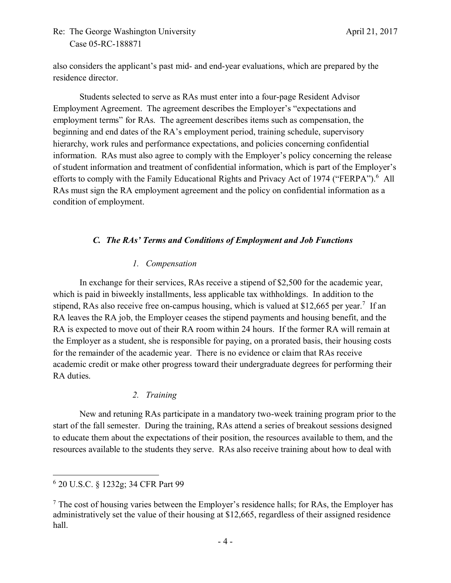also considers the applicant's past mid- and end-year evaluations, which are prepared by the residence director.

Students selected to serve as RAs must enter into a four-page Resident Advisor Employment Agreement. The agreement describes the Employer's "expectations and employment terms" for RAs. The agreement describes items such as compensation, the beginning and end dates of the RA's employment period, training schedule, supervisory hierarchy, work rules and performance expectations, and policies concerning confidential information. RAs must also agree to comply with the Employer's policy concerning the release of student information and treatment of confidential information, which is part of the Employer's efforts to comply with the Family Educational Rights and Privacy Act of 1974 ("FERPA").<sup>6</sup> All RAs must sign the RA employment agreement and the policy on confidential information as a condition of employment.

## *C. The RAs' Terms and Conditions of Employment and Job Functions*

### *1. Compensation*

In exchange for their services, RAs receive a stipend of \$2,500 for the academic year, which is paid in biweekly installments, less applicable tax withholdings. In addition to the stipend, RAs also receive free on-campus housing, which is valued at \$12,665 per year.<sup>7</sup> If an RA leaves the RA job, the Employer ceases the stipend payments and housing benefit, and the RA is expected to move out of their RA room within 24 hours. If the former RA will remain at the Employer as a student, she is responsible for paying, on a prorated basis, their housing costs for the remainder of the academic year. There is no evidence or claim that RAs receive academic credit or make other progress toward their undergraduate degrees for performing their RA duties.

### *2. Training*

New and retuning RAs participate in a mandatory two-week training program prior to the start of the fall semester. During the training, RAs attend a series of breakout sessions designed to educate them about the expectations of their position, the resources available to them, and the resources available to the students they serve. RAs also receive training about how to deal with

 $\overline{\phantom{a}}$ 

<sup>6</sup> 20 U.S.C. § 1232g; 34 CFR Part 99

 $<sup>7</sup>$  The cost of housing varies between the Employer's residence halls; for RAs, the Employer has</sup> administratively set the value of their housing at \$12,665, regardless of their assigned residence hall.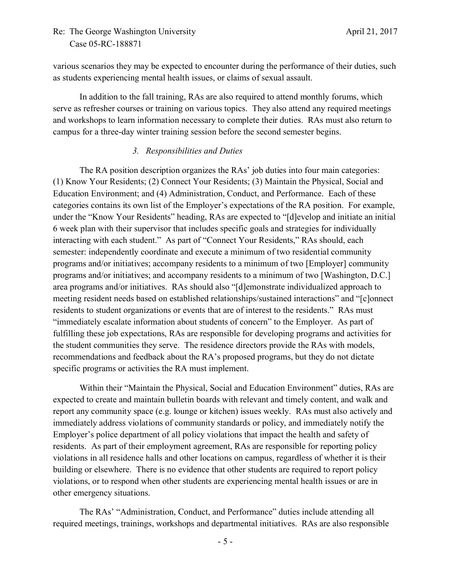various scenarios they may be expected to encounter during the performance of their duties, such as students experiencing mental health issues, or claims of sexual assault.

In addition to the fall training, RAs are also required to attend monthly forums, which serve as refresher courses or training on various topics. They also attend any required meetings and workshops to learn information necessary to complete their duties. RAs must also return to campus for a three-day winter training session before the second semester begins.

### *3. Responsibilities and Duties*

The RA position description organizes the RAs' job duties into four main categories: (1) Know Your Residents; (2) Connect Your Residents; (3) Maintain the Physical, Social and Education Environment; and (4) Administration, Conduct, and Performance. Each of these categories contains its own list of the Employer's expectations of the RA position. For example, under the "Know Your Residents" heading, RAs are expected to "[d]evelop and initiate an initial 6 week plan with their supervisor that includes specific goals and strategies for individually interacting with each student." As part of "Connect Your Residents," RAs should, each semester: independently coordinate and execute a minimum of two residential community programs and/or initiatives; accompany residents to a minimum of two [Employer] community programs and/or initiatives; and accompany residents to a minimum of two [Washington, D.C.] area programs and/or initiatives. RAs should also "[d]emonstrate individualized approach to meeting resident needs based on established relationships/sustained interactions" and "[c]onnect residents to student organizations or events that are of interest to the residents." RAs must "immediately escalate information about students of concern" to the Employer. As part of fulfilling these job expectations, RAs are responsible for developing programs and activities for the student communities they serve. The residence directors provide the RAs with models, recommendations and feedback about the RA's proposed programs, but they do not dictate specific programs or activities the RA must implement.

Within their "Maintain the Physical, Social and Education Environment" duties, RAs are expected to create and maintain bulletin boards with relevant and timely content, and walk and report any community space (e.g. lounge or kitchen) issues weekly. RAs must also actively and immediately address violations of community standards or policy, and immediately notify the Employer's police department of all policy violations that impact the health and safety of residents. As part of their employment agreement, RAs are responsible for reporting policy violations in all residence halls and other locations on campus, regardless of whether it is their building or elsewhere. There is no evidence that other students are required to report policy violations, or to respond when other students are experiencing mental health issues or are in other emergency situations.

The RAs' "Administration, Conduct, and Performance" duties include attending all required meetings, trainings, workshops and departmental initiatives. RAs are also responsible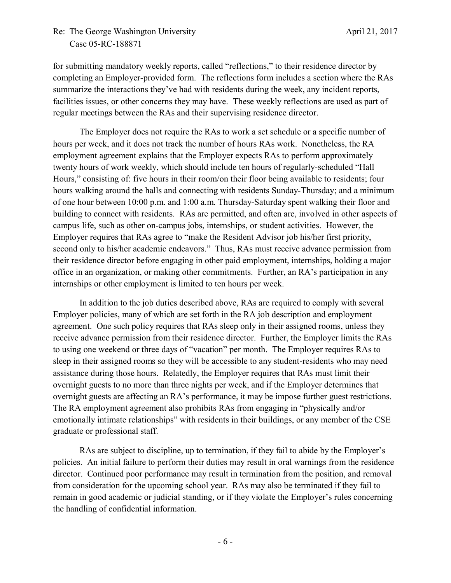for submitting mandatory weekly reports, called "reflections," to their residence director by completing an Employer-provided form. The reflections form includes a section where the RAs summarize the interactions they've had with residents during the week, any incident reports, facilities issues, or other concerns they may have. These weekly reflections are used as part of regular meetings between the RAs and their supervising residence director.

The Employer does not require the RAs to work a set schedule or a specific number of hours per week, and it does not track the number of hours RAs work. Nonetheless, the RA employment agreement explains that the Employer expects RAs to perform approximately twenty hours of work weekly, which should include ten hours of regularly-scheduled "Hall Hours," consisting of: five hours in their room/on their floor being available to residents; four hours walking around the halls and connecting with residents Sunday-Thursday; and a minimum of one hour between 10:00 p.m. and 1:00 a.m. Thursday-Saturday spent walking their floor and building to connect with residents. RAs are permitted, and often are, involved in other aspects of campus life, such as other on-campus jobs, internships, or student activities. However, the Employer requires that RAs agree to "make the Resident Advisor job his/her first priority, second only to his/her academic endeavors." Thus, RAs must receive advance permission from their residence director before engaging in other paid employment, internships, holding a major office in an organization, or making other commitments. Further, an RA's participation in any internships or other employment is limited to ten hours per week.

In addition to the job duties described above, RAs are required to comply with several Employer policies, many of which are set forth in the RA job description and employment agreement. One such policy requires that RAs sleep only in their assigned rooms, unless they receive advance permission from their residence director. Further, the Employer limits the RAs to using one weekend or three days of "vacation" per month. The Employer requires RAs to sleep in their assigned rooms so they will be accessible to any student-residents who may need assistance during those hours. Relatedly, the Employer requires that RAs must limit their overnight guests to no more than three nights per week, and if the Employer determines that overnight guests are affecting an RA's performance, it may be impose further guest restrictions. The RA employment agreement also prohibits RAs from engaging in "physically and/or emotionally intimate relationships" with residents in their buildings, or any member of the CSE graduate or professional staff.

RAs are subject to discipline, up to termination, if they fail to abide by the Employer's policies. An initial failure to perform their duties may result in oral warnings from the residence director. Continued poor performance may result in termination from the position, and removal from consideration for the upcoming school year. RAs may also be terminated if they fail to remain in good academic or judicial standing, or if they violate the Employer's rules concerning the handling of confidential information.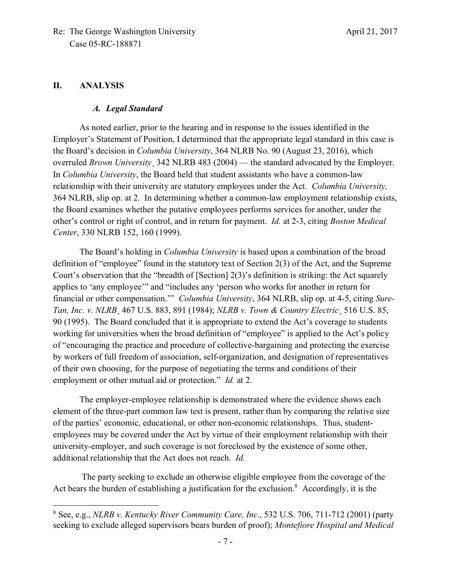### **II. ANALYSIS**

 $\overline{\phantom{a}}$ 

#### *A. Legal Standard*

As noted earlier, prior to the hearing and in response to the issues identified in the Employer's Statement of Position, I determined that the appropriate legal standard in this case is the Board's decision in *Columbia University*, 364 NLRB No. 90 (August 23, 2016), which overruled *Brown University*¸ 342 NLRB 483 (2004) — the standard advocated by the Employer. In *Columbia University*, the Board held that student assistants who have a common-law relationship with their university are statutory employees under the Act. *Columbia University,* 364 NLRB, slip op. at 2. In determining whether a common-law employment relationship exists, the Board examines whether the putative employees performs services for another, under the other's control or right of control, and in return for payment. *Id.* at 2-3, citing *Boston Medical Center*, 330 NLRB 152, 160 (1999).

The Board's holding in *Columbia University* is based upon a combination of the broad definition of "employee" found in the statutory text of Section 2(3) of the Act, and the Supreme Court's observation that the "breadth of [Section] 2(3)'s definition is striking: the Act squarely applies to 'any employee'" and "includes any 'person who works for another in return for financial or other compensation.'" *Columbia University*, 364 NLRB, slip op. at 4-5, citing *Sure-Tan, Inc. v. NLRB*¸ 467 U.S. 883, 891 (1984); *NLRB v. Town & Country Electric*¸ 516 U.S. 85, 90 (1995). The Board concluded that it is appropriate to extend the Act's coverage to students working for universities when the broad definition of "employee" is applied to the Act's policy of "encouraging the practice and procedure of collective-bargaining and protecting the exercise by workers of full freedom of association, self-organization, and designation of representatives of their own choosing, for the purpose of negotiating the terms and conditions of their employment or other mutual aid or protection." *Id.* at 2.

The employer-employee relationship is demonstrated where the evidence shows each element of the three-part common law test is present, rather than by comparing the relative size of the parties' economic, educational, or other non-economic relationships. Thus, studentemployees may be covered under the Act by virtue of their employment relationship with their university-employer, and such coverage is not foreclosed by the existence of some other, additional relationship that the Act does not reach. *Id.*

The party seeking to exclude an otherwise eligible employee from the coverage of the Act bears the burden of establishing a justification for the exclusion.<sup>8</sup> Accordingly, it is the

<sup>8</sup> See, e.g., *NLRB v. Kentucky River Community Care, Inc.*, 532 U.S. 706, 711-712 (2001) (party seeking to exclude alleged supervisors bears burden of proof); *Montefiore Hospital and Medical*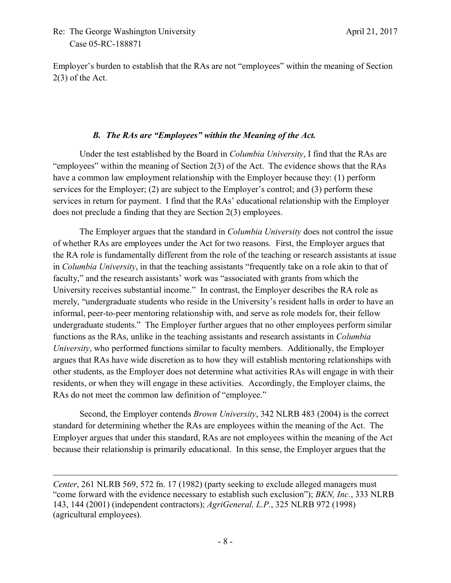$\overline{\phantom{a}}$ 

Employer's burden to establish that the RAs are not "employees" within the meaning of Section 2(3) of the Act.

## *B. The RAs are "Employees" within the Meaning of the Act.*

Under the test established by the Board in *Columbia University*, I find that the RAs are "employees" within the meaning of Section 2(3) of the Act. The evidence shows that the RAs have a common law employment relationship with the Employer because they: (1) perform services for the Employer; (2) are subject to the Employer's control; and (3) perform these services in return for payment. I find that the RAs' educational relationship with the Employer does not preclude a finding that they are Section 2(3) employees.

The Employer argues that the standard in *Columbia University* does not control the issue of whether RAs are employees under the Act for two reasons. First, the Employer argues that the RA role is fundamentally different from the role of the teaching or research assistants at issue in *Columbia University*, in that the teaching assistants "frequently take on a role akin to that of faculty," and the research assistants' work was "associated with grants from which the University receives substantial income." In contrast, the Employer describes the RA role as merely, "undergraduate students who reside in the University's resident halls in order to have an informal, peer-to-peer mentoring relationship with, and serve as role models for, their fellow undergraduate students." The Employer further argues that no other employees perform similar functions as the RAs, unlike in the teaching assistants and research assistants in *Columbia University*, who performed functions similar to faculty members. Additionally, the Employer argues that RAs have wide discretion as to how they will establish mentoring relationships with other students, as the Employer does not determine what activities RAs will engage in with their residents, or when they will engage in these activities. Accordingly, the Employer claims, the RAs do not meet the common law definition of "employee."

Second, the Employer contends *Brown University*, 342 NLRB 483 (2004) is the correct standard for determining whether the RAs are employees within the meaning of the Act. The Employer argues that under this standard, RAs are not employees within the meaning of the Act because their relationship is primarily educational. In this sense, the Employer argues that the

*Center*, 261 NLRB 569, 572 fn. 17 (1982) (party seeking to exclude alleged managers must "come forward with the evidence necessary to establish such exclusion"); *BKN, Inc.*, 333 NLRB 143, 144 (2001) (independent contractors); *AgriGeneral, L.P.*, 325 NLRB 972 (1998) (agricultural employees).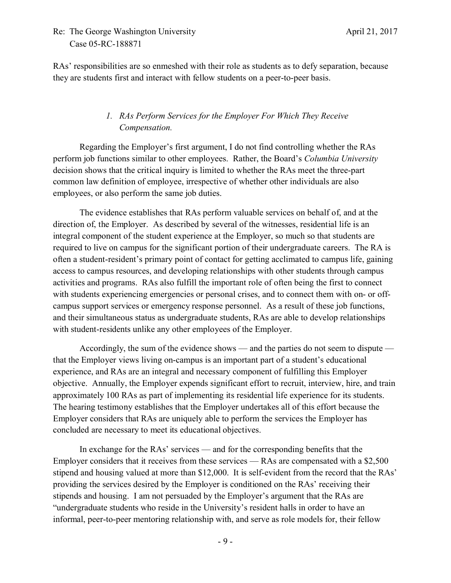RAs' responsibilities are so enmeshed with their role as students as to defy separation, because they are students first and interact with fellow students on a peer-to-peer basis.

# *1. RAs Perform Services for the Employer For Which They Receive Compensation.*

Regarding the Employer's first argument, I do not find controlling whether the RAs perform job functions similar to other employees. Rather, the Board's *Columbia University* decision shows that the critical inquiry is limited to whether the RAs meet the three-part common law definition of employee, irrespective of whether other individuals are also employees, or also perform the same job duties.

The evidence establishes that RAs perform valuable services on behalf of, and at the direction of, the Employer. As described by several of the witnesses, residential life is an integral component of the student experience at the Employer, so much so that students are required to live on campus for the significant portion of their undergraduate careers. The RA is often a student-resident's primary point of contact for getting acclimated to campus life, gaining access to campus resources, and developing relationships with other students through campus activities and programs. RAs also fulfill the important role of often being the first to connect with students experiencing emergencies or personal crises, and to connect them with on- or offcampus support services or emergency response personnel. As a result of these job functions, and their simultaneous status as undergraduate students, RAs are able to develop relationships with student-residents unlike any other employees of the Employer.

Accordingly, the sum of the evidence shows — and the parties do not seem to dispute that the Employer views living on-campus is an important part of a student's educational experience, and RAs are an integral and necessary component of fulfilling this Employer objective. Annually, the Employer expends significant effort to recruit, interview, hire, and train approximately 100 RAs as part of implementing its residential life experience for its students. The hearing testimony establishes that the Employer undertakes all of this effort because the Employer considers that RAs are uniquely able to perform the services the Employer has concluded are necessary to meet its educational objectives.

In exchange for the RAs' services — and for the corresponding benefits that the Employer considers that it receives from these services — RAs are compensated with a \$2,500 stipend and housing valued at more than \$12,000. It is self-evident from the record that the RAs' providing the services desired by the Employer is conditioned on the RAs' receiving their stipends and housing. I am not persuaded by the Employer's argument that the RAs are "undergraduate students who reside in the University's resident halls in order to have an informal, peer-to-peer mentoring relationship with, and serve as role models for, their fellow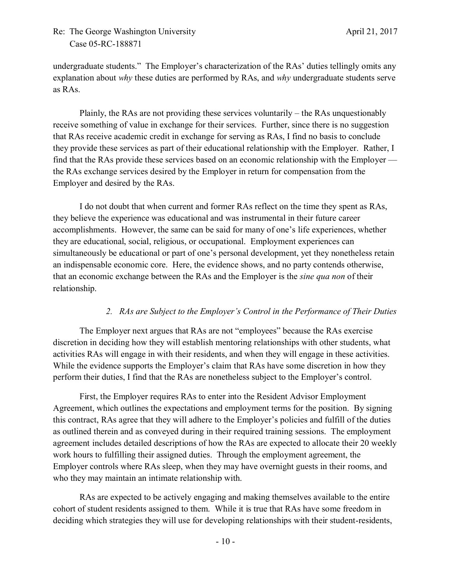undergraduate students." The Employer's characterization of the RAs' duties tellingly omits any explanation about *why* these duties are performed by RAs, and *why* undergraduate students serve as RAs.

Plainly, the RAs are not providing these services voluntarily – the RAs unquestionably receive something of value in exchange for their services. Further, since there is no suggestion that RAs receive academic credit in exchange for serving as RAs, I find no basis to conclude they provide these services as part of their educational relationship with the Employer. Rather, I find that the RAs provide these services based on an economic relationship with the Employer the RAs exchange services desired by the Employer in return for compensation from the Employer and desired by the RAs.

I do not doubt that when current and former RAs reflect on the time they spent as RAs, they believe the experience was educational and was instrumental in their future career accomplishments. However, the same can be said for many of one's life experiences, whether they are educational, social, religious, or occupational. Employment experiences can simultaneously be educational or part of one's personal development, yet they nonetheless retain an indispensable economic core. Here, the evidence shows, and no party contends otherwise, that an economic exchange between the RAs and the Employer is the *sine qua non* of their relationship.

#### *2. RAs are Subject to the Employer's Control in the Performance of Their Duties*

The Employer next argues that RAs are not "employees" because the RAs exercise discretion in deciding how they will establish mentoring relationships with other students, what activities RAs will engage in with their residents, and when they will engage in these activities. While the evidence supports the Employer's claim that RAs have some discretion in how they perform their duties, I find that the RAs are nonetheless subject to the Employer's control.

First, the Employer requires RAs to enter into the Resident Advisor Employment Agreement, which outlines the expectations and employment terms for the position. By signing this contract, RAs agree that they will adhere to the Employer's policies and fulfill of the duties as outlined therein and as conveyed during in their required training sessions. The employment agreement includes detailed descriptions of how the RAs are expected to allocate their 20 weekly work hours to fulfilling their assigned duties. Through the employment agreement, the Employer controls where RAs sleep, when they may have overnight guests in their rooms, and who they may maintain an intimate relationship with.

RAs are expected to be actively engaging and making themselves available to the entire cohort of student residents assigned to them. While it is true that RAs have some freedom in deciding which strategies they will use for developing relationships with their student-residents,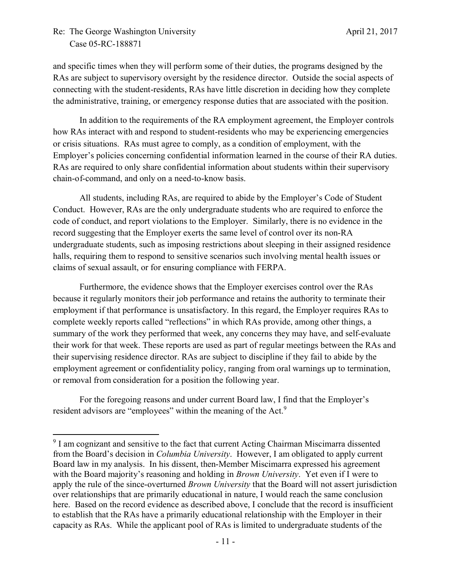l

and specific times when they will perform some of their duties, the programs designed by the RAs are subject to supervisory oversight by the residence director. Outside the social aspects of connecting with the student-residents, RAs have little discretion in deciding how they complete the administrative, training, or emergency response duties that are associated with the position.

In addition to the requirements of the RA employment agreement, the Employer controls how RAs interact with and respond to student-residents who may be experiencing emergencies or crisis situations. RAs must agree to comply, as a condition of employment, with the Employer's policies concerning confidential information learned in the course of their RA duties. RAs are required to only share confidential information about students within their supervisory chain-of-command, and only on a need-to-know basis.

All students, including RAs, are required to abide by the Employer's Code of Student Conduct. However, RAs are the only undergraduate students who are required to enforce the code of conduct, and report violations to the Employer. Similarly, there is no evidence in the record suggesting that the Employer exerts the same level of control over its non-RA undergraduate students, such as imposing restrictions about sleeping in their assigned residence halls, requiring them to respond to sensitive scenarios such involving mental health issues or claims of sexual assault, or for ensuring compliance with FERPA.

Furthermore, the evidence shows that the Employer exercises control over the RAs because it regularly monitors their job performance and retains the authority to terminate their employment if that performance is unsatisfactory. In this regard, the Employer requires RAs to complete weekly reports called "reflections" in which RAs provide, among other things, a summary of the work they performed that week, any concerns they may have, and self-evaluate their work for that week. These reports are used as part of regular meetings between the RAs and their supervising residence director. RAs are subject to discipline if they fail to abide by the employment agreement or confidentiality policy, ranging from oral warnings up to termination, or removal from consideration for a position the following year.

For the foregoing reasons and under current Board law, I find that the Employer's resident advisors are "employees" within the meaning of the Act.<sup>9</sup>

<sup>&</sup>lt;sup>9</sup> I am cognizant and sensitive to the fact that current Acting Chairman Miscimarra dissented from the Board's decision in *Columbia University*. However, I am obligated to apply current Board law in my analysis. In his dissent, then-Member Miscimarra expressed his agreement with the Board majority's reasoning and holding in *Brown University*. Yet even if I were to apply the rule of the since-overturned *Brown University* that the Board will not assert jurisdiction over relationships that are primarily educational in nature, I would reach the same conclusion here. Based on the record evidence as described above, I conclude that the record is insufficient to establish that the RAs have a primarily educational relationship with the Employer in their capacity as RAs. While the applicant pool of RAs is limited to undergraduate students of the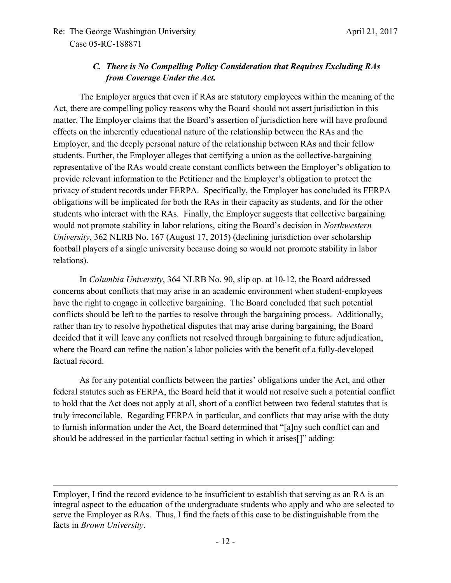$\overline{a}$ 

# *C. There is No Compelling Policy Consideration that Requires Excluding RAs from Coverage Under the Act.*

The Employer argues that even if RAs are statutory employees within the meaning of the Act, there are compelling policy reasons why the Board should not assert jurisdiction in this matter. The Employer claims that the Board's assertion of jurisdiction here will have profound effects on the inherently educational nature of the relationship between the RAs and the Employer, and the deeply personal nature of the relationship between RAs and their fellow students. Further, the Employer alleges that certifying a union as the collective-bargaining representative of the RAs would create constant conflicts between the Employer's obligation to provide relevant information to the Petitioner and the Employer's obligation to protect the privacy of student records under FERPA. Specifically, the Employer has concluded its FERPA obligations will be implicated for both the RAs in their capacity as students, and for the other students who interact with the RAs. Finally, the Employer suggests that collective bargaining would not promote stability in labor relations, citing the Board's decision in *Northwestern University*, 362 NLRB No. 167 (August 17, 2015) (declining jurisdiction over scholarship football players of a single university because doing so would not promote stability in labor relations).

In *Columbia University*, 364 NLRB No. 90, slip op. at 10-12, the Board addressed concerns about conflicts that may arise in an academic environment when student-employees have the right to engage in collective bargaining. The Board concluded that such potential conflicts should be left to the parties to resolve through the bargaining process. Additionally, rather than try to resolve hypothetical disputes that may arise during bargaining, the Board decided that it will leave any conflicts not resolved through bargaining to future adjudication, where the Board can refine the nation's labor policies with the benefit of a fully-developed factual record.

As for any potential conflicts between the parties' obligations under the Act, and other federal statutes such as FERPA, the Board held that it would not resolve such a potential conflict to hold that the Act does not apply at all, short of a conflict between two federal statutes that is truly irreconcilable. Regarding FERPA in particular, and conflicts that may arise with the duty to furnish information under the Act, the Board determined that "[a]ny such conflict can and should be addressed in the particular factual setting in which it arises[]" adding:

Employer, I find the record evidence to be insufficient to establish that serving as an RA is an integral aspect to the education of the undergraduate students who apply and who are selected to serve the Employer as RAs. Thus, I find the facts of this case to be distinguishable from the facts in *Brown University*.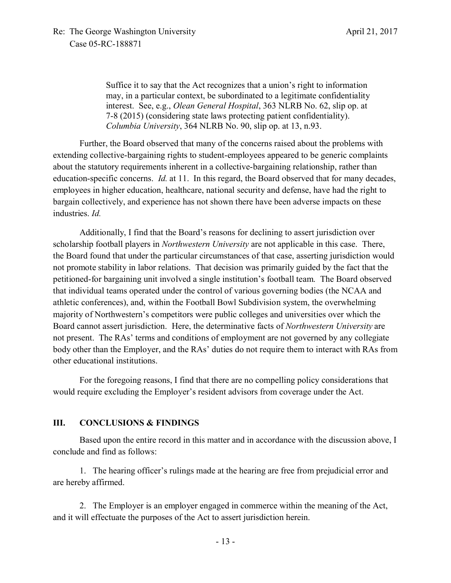Suffice it to say that the Act recognizes that a union's right to information may, in a particular context, be subordinated to a legitimate confidentiality interest. See, e.g., *Olean General Hospital*, 363 NLRB No. 62, slip op. at 7-8 (2015) (considering state laws protecting patient confidentiality). *Columbia University*, 364 NLRB No. 90, slip op. at 13, n.93.

Further, the Board observed that many of the concerns raised about the problems with extending collective-bargaining rights to student-employees appeared to be generic complaints about the statutory requirements inherent in a collective-bargaining relationship, rather than education-specific concerns. *Id.* at 11. In this regard, the Board observed that for many decades, employees in higher education, healthcare, national security and defense, have had the right to bargain collectively, and experience has not shown there have been adverse impacts on these industries. *Id.*

Additionally, I find that the Board's reasons for declining to assert jurisdiction over scholarship football players in *Northwestern University* are not applicable in this case. There, the Board found that under the particular circumstances of that case, asserting jurisdiction would not promote stability in labor relations. That decision was primarily guided by the fact that the petitioned-for bargaining unit involved a single institution's football team. The Board observed that individual teams operated under the control of various governing bodies (the NCAA and athletic conferences), and, within the Football Bowl Subdivision system, the overwhelming majority of Northwestern's competitors were public colleges and universities over which the Board cannot assert jurisdiction. Here, the determinative facts of *Northwestern University* are not present. The RAs' terms and conditions of employment are not governed by any collegiate body other than the Employer, and the RAs' duties do not require them to interact with RAs from other educational institutions.

For the foregoing reasons, I find that there are no compelling policy considerations that would require excluding the Employer's resident advisors from coverage under the Act.

### **III. CONCLUSIONS & FINDINGS**

Based upon the entire record in this matter and in accordance with the discussion above, I conclude and find as follows:

1. The hearing officer's rulings made at the hearing are free from prejudicial error and are hereby affirmed.

2. The Employer is an employer engaged in commerce within the meaning of the Act, and it will effectuate the purposes of the Act to assert jurisdiction herein.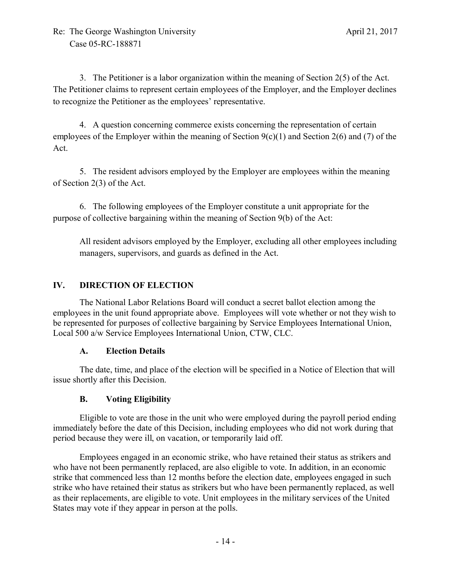3. The Petitioner is a labor organization within the meaning of Section 2(5) of the Act. The Petitioner claims to represent certain employees of the Employer, and the Employer declines to recognize the Petitioner as the employees' representative.

4. A question concerning commerce exists concerning the representation of certain employees of the Employer within the meaning of Section  $9(c)(1)$  and Section 2(6) and (7) of the Act.

5. The resident advisors employed by the Employer are employees within the meaning of Section 2(3) of the Act.

6. The following employees of the Employer constitute a unit appropriate for the purpose of collective bargaining within the meaning of Section 9(b) of the Act:

All resident advisors employed by the Employer, excluding all other employees including managers, supervisors, and guards as defined in the Act.

## **IV. DIRECTION OF ELECTION**

The National Labor Relations Board will conduct a secret ballot election among the employees in the unit found appropriate above. Employees will vote whether or not they wish to be represented for purposes of collective bargaining by Service Employees International Union, Local 500 a/w Service Employees International Union, CTW, CLC.

### **A. Election Details**

The date, time, and place of the election will be specified in a Notice of Election that will issue shortly after this Decision.

## **B. Voting Eligibility**

Eligible to vote are those in the unit who were employed during the payroll period ending immediately before the date of this Decision, including employees who did not work during that period because they were ill, on vacation, or temporarily laid off.

Employees engaged in an economic strike, who have retained their status as strikers and who have not been permanently replaced, are also eligible to vote. In addition, in an economic strike that commenced less than 12 months before the election date, employees engaged in such strike who have retained their status as strikers but who have been permanently replaced, as well as their replacements, are eligible to vote. Unit employees in the military services of the United States may vote if they appear in person at the polls.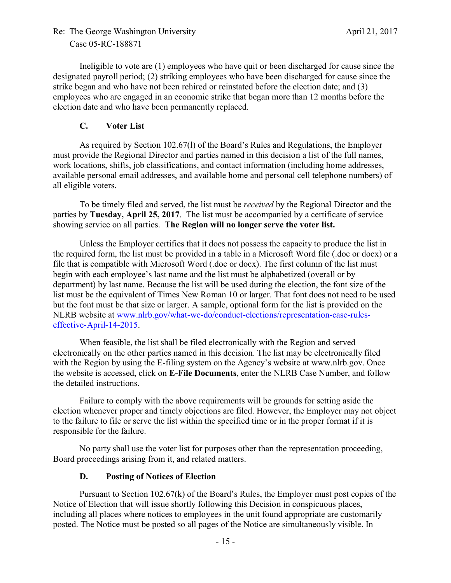Ineligible to vote are (1) employees who have quit or been discharged for cause since the designated payroll period; (2) striking employees who have been discharged for cause since the strike began and who have not been rehired or reinstated before the election date; and (3) employees who are engaged in an economic strike that began more than 12 months before the election date and who have been permanently replaced.

### **C. Voter List**

As required by Section 102.67(l) of the Board's Rules and Regulations, the Employer must provide the Regional Director and parties named in this decision a list of the full names, work locations, shifts, job classifications, and contact information (including home addresses, available personal email addresses, and available home and personal cell telephone numbers) of all eligible voters.

To be timely filed and served, the list must be *received* by the Regional Director and the parties by **Tuesday, April 25, 2017**. The list must be accompanied by a certificate of service showing service on all parties. **The Region will no longer serve the voter list.**

Unless the Employer certifies that it does not possess the capacity to produce the list in the required form, the list must be provided in a table in a Microsoft Word file (.doc or docx) or a file that is compatible with Microsoft Word (.doc or docx). The first column of the list must begin with each employee's last name and the list must be alphabetized (overall or by department) by last name. Because the list will be used during the election, the font size of the list must be the equivalent of Times New Roman 10 or larger. That font does not need to be used but the font must be that size or larger. A sample, optional form for the list is provided on the NLRB website at www.nlrb.gov/what-we-do/conduct-elections/representation-case-ruleseffective-April-14-2015.

When feasible, the list shall be filed electronically with the Region and served electronically on the other parties named in this decision. The list may be electronically filed with the Region by using the E-filing system on the Agency's website at www.nlrb.gov. Once the website is accessed, click on **E-File Documents**, enter the NLRB Case Number, and follow the detailed instructions.

Failure to comply with the above requirements will be grounds for setting aside the election whenever proper and timely objections are filed. However, the Employer may not object to the failure to file or serve the list within the specified time or in the proper format if it is responsible for the failure.

No party shall use the voter list for purposes other than the representation proceeding, Board proceedings arising from it, and related matters.

### **D. Posting of Notices of Election**

Pursuant to Section 102.67(k) of the Board's Rules, the Employer must post copies of the Notice of Election that will issue shortly following this Decision in conspicuous places, including all places where notices to employees in the unit found appropriate are customarily posted. The Notice must be posted so all pages of the Notice are simultaneously visible. In